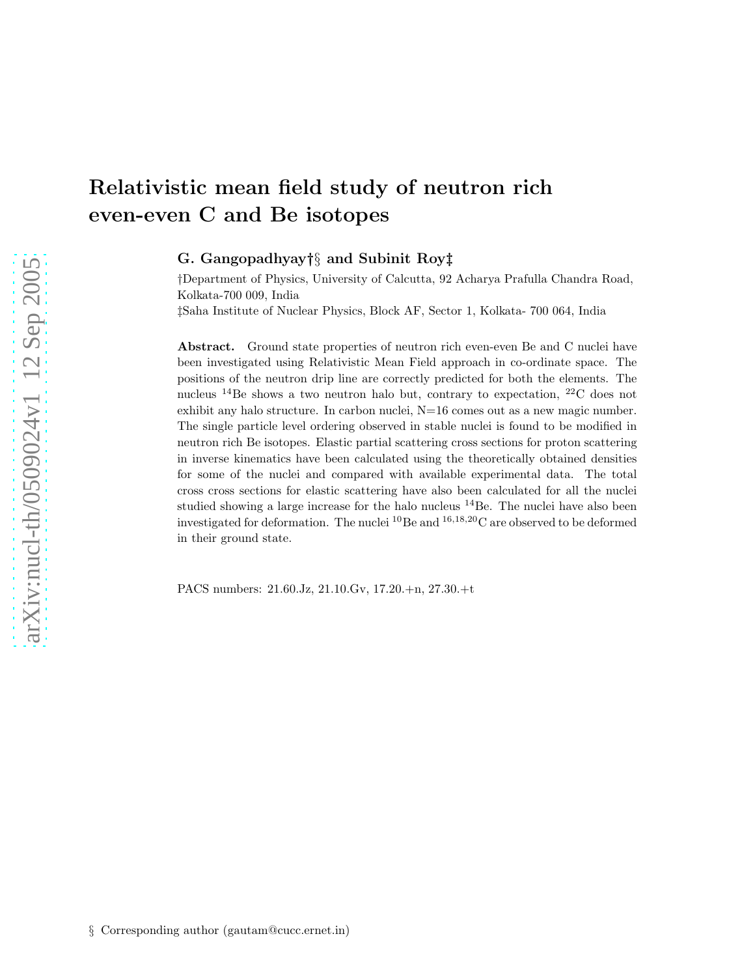# Relativistic mean field study of neutron rich even-even C and Be isotopes

G. Gangopadhyay†§ and Subinit Roy‡

†Department of Physics, University of Calcutta, 92 Acharya Prafulla Chandra Road, Kolkata-700 009, India

‡Saha Institute of Nuclear Physics, Block AF, Sector 1, Kolkata- 700 064, India

Abstract. Ground state properties of neutron rich even-even Be and C nuclei have been investigated using Relativistic Mean Field approach in co-ordinate space. The positions of the neutron drip line are correctly predicted for both the elements. The nucleus <sup>14</sup>Be shows a two neutron halo but, contrary to expectation, <sup>22</sup>C does not exhibit any halo structure. In carbon nuclei, N=16 comes out as a new magic number. The single particle level ordering observed in stable nuclei is found to be modified in neutron rich Be isotopes. Elastic partial scattering cross sections for proton scattering in inverse kinematics have been calculated using the theoretically obtained densities for some of the nuclei and compared with available experimental data. The total cross cross sections for elastic scattering have also been calculated for all the nuclei studied showing a large increase for the halo nucleus <sup>14</sup>Be. The nuclei have also been investigated for deformation. The nuclei  $^{10}$ Be and  $^{16,18,20}$ C are observed to be deformed in their ground state.

PACS numbers: 21.60.Jz, 21.10.Gv, 17.20.+n, 27.30.+t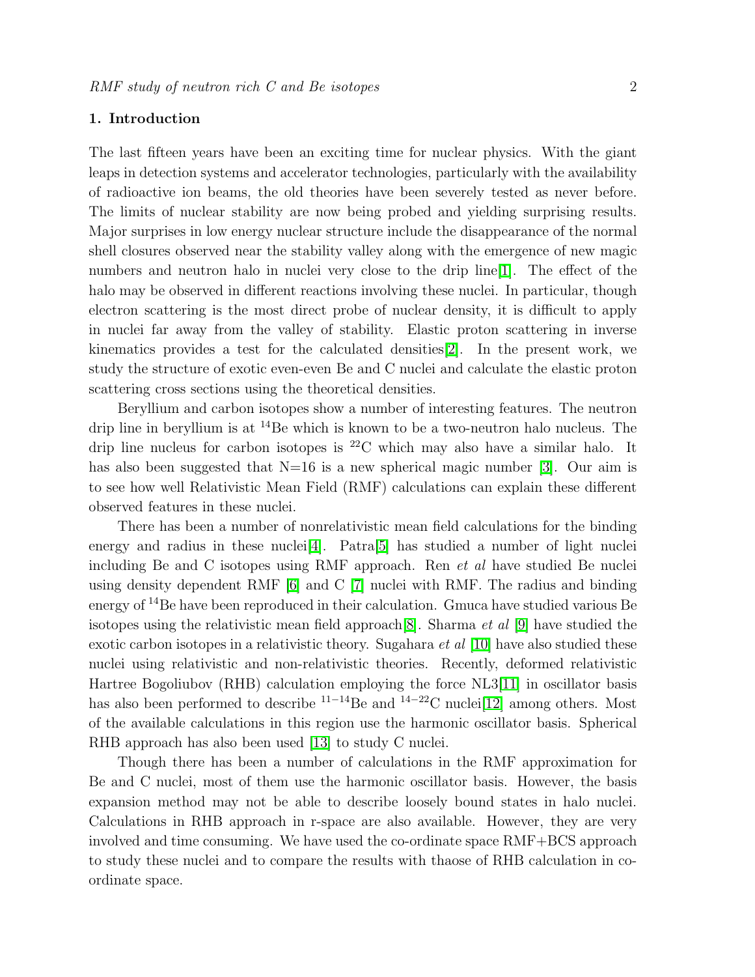## 1. Introduction

The last fifteen years have been an exciting time for nuclear physics. With the giant leaps in detection systems and accelerator technologies, particularly with the availability of radioactive ion beams, the old theories have been severely tested as never before. The limits of nuclear stability are now being probed and yielding surprising results. Major surprises in low energy nuclear structure include the disappearance of the normal shell closures observed near the stability valley along with the emergence of new magic numbers and neutron halo in nuclei very close to the drip line[\[1\]](#page-9-0). The effect of the halo may be observed in different reactions involving these nuclei. In particular, though electron scattering is the most direct probe of nuclear density, it is difficult to apply in nuclei far away from the valley of stability. Elastic proton scattering in inverse kinematics provides a test for the calculated densities[\[2\]](#page-9-1). In the present work, we study the structure of exotic even-even Be and C nuclei and calculate the elastic proton scattering cross sections using the theoretical densities.

Beryllium and carbon isotopes show a number of interesting features. The neutron drip line in beryllium is at <sup>14</sup>Be which is known to be a two-neutron halo nucleus. The drip line nucleus for carbon isotopes is  ${}^{22}$ C which may also have a similar halo. It has also been suggested that  $N=16$  is a new spherical magic number [\[3\]](#page-9-2). Our aim is to see how well Relativistic Mean Field (RMF) calculations can explain these different observed features in these nuclei.

There has been a number of nonrelativistic mean field calculations for the binding energy and radius in these nuclei<sup>[\[4\]](#page-9-3)</sup>. Patra<sup>[\[5\]](#page-9-4)</sup> has studied a number of light nuclei including Be and C isotopes using RMF approach. Ren et al have studied Be nuclei using density dependent RMF [\[6\]](#page-9-5) and C [\[7\]](#page-9-6) nuclei with RMF. The radius and binding energy of <sup>14</sup>Be have been reproduced in their calculation. Gmuca have studied various Be isotopes using the relativistic mean field approach[\[8\]](#page-9-7). Sharma et al [\[9\]](#page-9-8) have studied the exotic carbon isotopes in a relativistic theory. Sugahara *et al* [\[10\]](#page-9-9) have also studied these nuclei using relativistic and non-relativistic theories. Recently, deformed relativistic Hartree Bogoliubov (RHB) calculation employing the force NL3[\[11\]](#page-9-10) in oscillator basis has also been performed to describe  $11-14$ Be and  $14-22$ C nuclei[\[12\]](#page-9-11) among others. Most of the available calculations in this region use the harmonic oscillator basis. Spherical RHB approach has also been used [\[13\]](#page-9-12) to study C nuclei.

Though there has been a number of calculations in the RMF approximation for Be and C nuclei, most of them use the harmonic oscillator basis. However, the basis expansion method may not be able to describe loosely bound states in halo nuclei. Calculations in RHB approach in r-space are also available. However, they are very involved and time consuming. We have used the co-ordinate space RMF+BCS approach to study these nuclei and to compare the results with thaose of RHB calculation in coordinate space.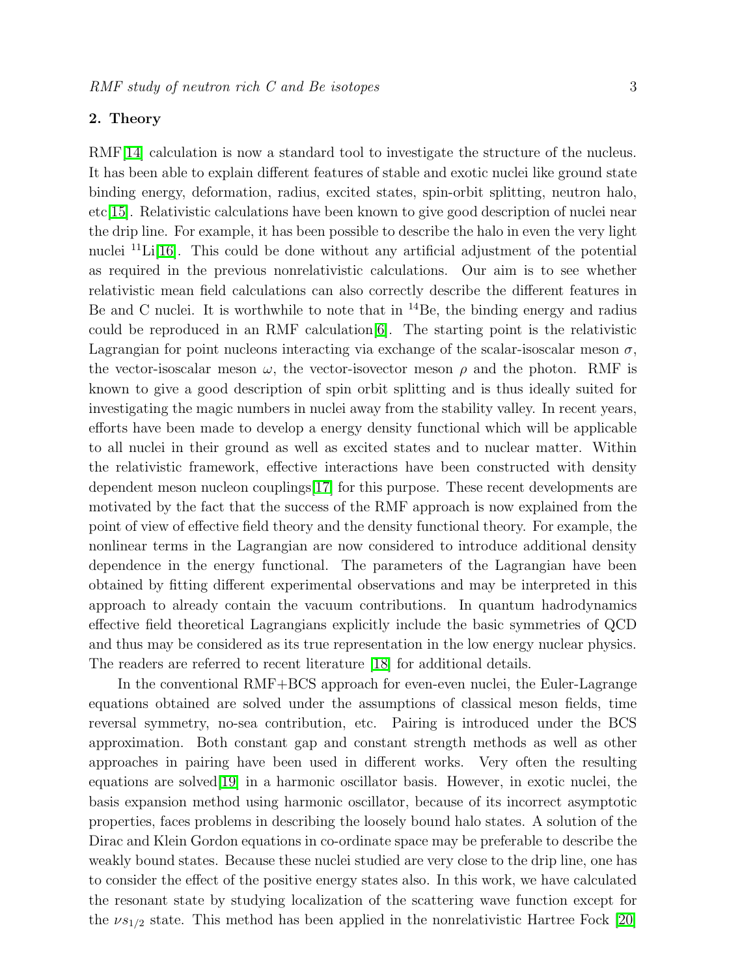## 2. Theory

RMF[\[14\]](#page-9-13) calculation is now a standard tool to investigate the structure of the nucleus. It has been able to explain different features of stable and exotic nuclei like ground state binding energy, deformation, radius, excited states, spin-orbit splitting, neutron halo, etc[\[15\]](#page-9-14). Relativistic calculations have been known to give good description of nuclei near the drip line. For example, it has been possible to describe the halo in even the very light nuclei  $\frac{11}{16}$ . This could be done without any artificial adjustment of the potential as required in the previous nonrelativistic calculations. Our aim is to see whether relativistic mean field calculations can also correctly describe the different features in Be and C nuclei. It is worthwhile to note that in  $^{14}$ Be, the binding energy and radius could be reproduced in an RMF calculation[\[6\]](#page-9-5). The starting point is the relativistic Lagrangian for point nucleons interacting via exchange of the scalar-isoscalar meson  $\sigma$ , the vector-isoscalar meson  $\omega$ , the vector-isovector meson  $\rho$  and the photon. RMF is known to give a good description of spin orbit splitting and is thus ideally suited for investigating the magic numbers in nuclei away from the stability valley. In recent years, efforts have been made to develop a energy density functional which will be applicable to all nuclei in their ground as well as excited states and to nuclear matter. Within the relativistic framework, effective interactions have been constructed with density dependent meson nucleon couplings[\[17\]](#page-9-16) for this purpose. These recent developments are motivated by the fact that the success of the RMF approach is now explained from the point of view of effective field theory and the density functional theory. For example, the nonlinear terms in the Lagrangian are now considered to introduce additional density dependence in the energy functional. The parameters of the Lagrangian have been obtained by fitting different experimental observations and may be interpreted in this approach to already contain the vacuum contributions. In quantum hadrodynamics effective field theoretical Lagrangians explicitly include the basic symmetries of QCD and thus may be considered as its true representation in the low energy nuclear physics. The readers are referred to recent literature [\[18\]](#page-9-17) for additional details.

In the conventional RMF+BCS approach for even-even nuclei, the Euler-Lagrange equations obtained are solved under the assumptions of classical meson fields, time reversal symmetry, no-sea contribution, etc. Pairing is introduced under the BCS approximation. Both constant gap and constant strength methods as well as other approaches in pairing have been used in different works. Very often the resulting equations are solved  $[19]$  in a harmonic oscillator basis. However, in exotic nuclei, the basis expansion method using harmonic oscillator, because of its incorrect asymptotic properties, faces problems in describing the loosely bound halo states. A solution of the Dirac and Klein Gordon equations in co-ordinate space may be preferable to describe the weakly bound states. Because these nuclei studied are very close to the drip line, one has to consider the effect of the positive energy states also. In this work, we have calculated the resonant state by studying localization of the scattering wave function except for the  $\nu s_{1/2}$  state. This method has been applied in the nonrelativistic Hartree Fock [\[20\]](#page-9-19)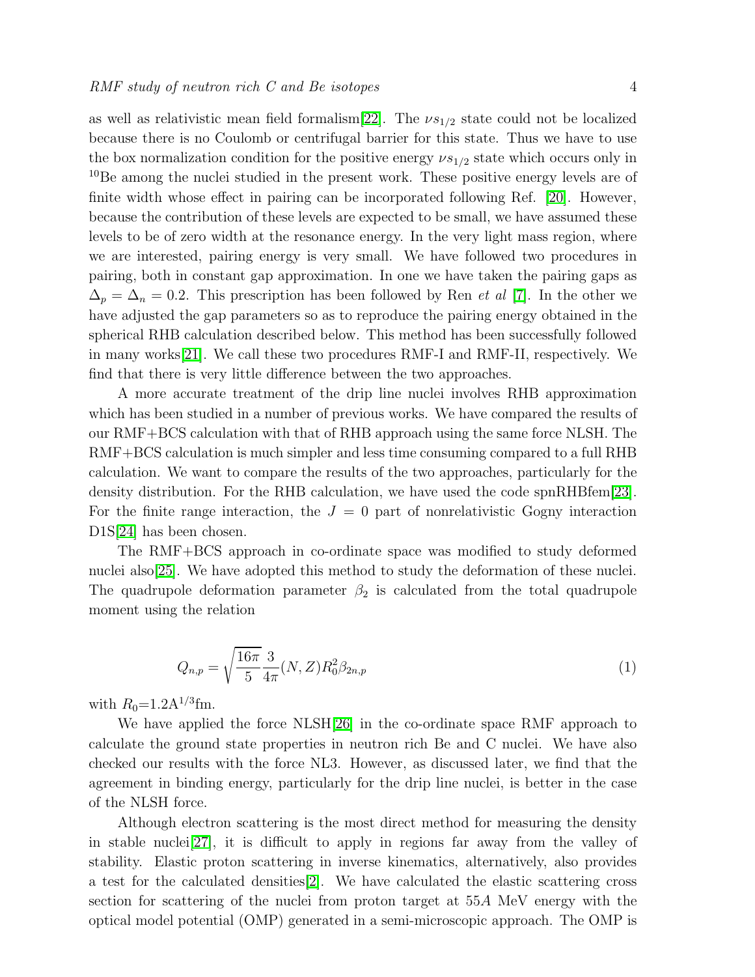because there is no Coulomb or centrifugal barrier for this state. Thus we have to use the box normalization condition for the positive energy  $\nu s_{1/2}$  state which occurs only in <sup>10</sup>Be among the nuclei studied in the present work. These positive energy levels are of finite width whose effect in pairing can be incorporated following Ref. [\[20\]](#page-9-19). However, because the contribution of these levels are expected to be small, we have assumed these levels to be of zero width at the resonance energy. In the very light mass region, where we are interested, pairing energy is very small. We have followed two procedures in pairing, both in constant gap approximation. In one we have taken the pairing gaps as  $\Delta_p = \Delta_n = 0.2$ . This prescription has been followed by Ren *et al* [\[7\]](#page-9-6). In the other we have adjusted the gap parameters so as to reproduce the pairing energy obtained in the spherical RHB calculation described below. This method has been successfully followed in many works[\[21\]](#page-9-21). We call these two procedures RMF-I and RMF-II, respectively. We find that there is very little difference between the two approaches.

A more accurate treatment of the drip line nuclei involves RHB approximation which has been studied in a number of previous works. We have compared the results of our RMF+BCS calculation with that of RHB approach using the same force NLSH. The RMF+BCS calculation is much simpler and less time consuming compared to a full RHB calculation. We want to compare the results of the two approaches, particularly for the density distribution. For the RHB calculation, we have used the code spnRHBfem[\[23\]](#page-9-22). For the finite range interaction, the  $J = 0$  part of nonrelativistic Gogny interaction D<sub>1S</sub>[\[24\]](#page-9-23) has been chosen.

The RMF+BCS approach in co-ordinate space was modified to study deformed nuclei also [\[25\]](#page-9-24). We have adopted this method to study the deformation of these nuclei. The quadrupole deformation parameter  $\beta_2$  is calculated from the total quadrupole moment using the relation

$$
Q_{n,p} = \sqrt{\frac{16\pi}{5}} \frac{3}{4\pi} (N, Z) R_0^2 \beta_{2n,p}
$$
 (1)

with  $R_0 = 1.2 \text{A}^{1/3} \text{fm}$ .

We have applied the force NLSH[\[26\]](#page-9-25) in the co-ordinate space RMF approach to calculate the ground state properties in neutron rich Be and C nuclei. We have also checked our results with the force NL3. However, as discussed later, we find that the agreement in binding energy, particularly for the drip line nuclei, is better in the case of the NLSH force.

Although electron scattering is the most direct method for measuring the density in stable nuclei[\[27\]](#page-9-26), it is difficult to apply in regions far away from the valley of stability. Elastic proton scattering in inverse kinematics, alternatively, also provides a test for the calculated densities[\[2\]](#page-9-1). We have calculated the elastic scattering cross section for scattering of the nuclei from proton target at 55A MeV energy with the optical model potential (OMP) generated in a semi-microscopic approach. The OMP is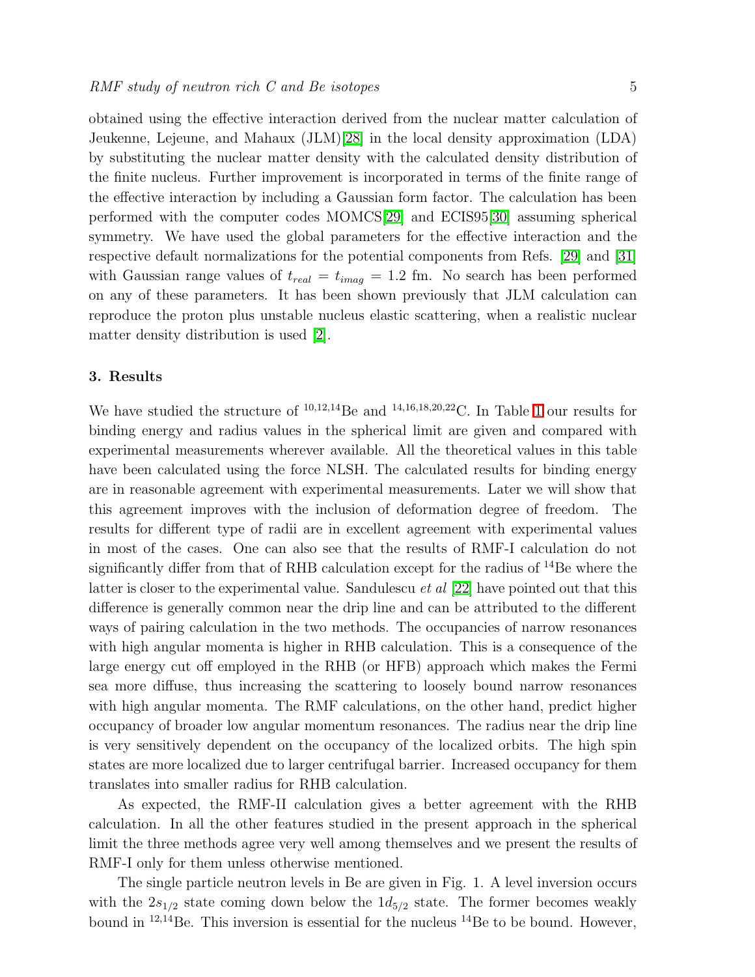obtained using the effective interaction derived from the nuclear matter calculation of Jeukenne, Lejeune, and Mahaux (JLM)[\[28\]](#page-9-27) in the local density approximation (LDA) by substituting the nuclear matter density with the calculated density distribution of the finite nucleus. Further improvement is incorporated in terms of the finite range of the effective interaction by including a Gaussian form factor. The calculation has been performed with the computer codes MOMCS[\[29\]](#page-9-28) and ECIS95[\[30\]](#page-9-29) assuming spherical symmetry. We have used the global parameters for the effective interaction and the respective default normalizations for the potential components from Refs. [\[29\]](#page-9-28) and [\[31\]](#page-9-30) with Gaussian range values of  $t_{real} = t_{imag} = 1.2$  fm. No search has been performed on any of these parameters. It has been shown previously that JLM calculation can reproduce the proton plus unstable nucleus elastic scattering, when a realistic nuclear matter density distribution is used [\[2\]](#page-9-1).

## 3. Results

We have studied the structure of  $^{10,12,14}$ Be and  $^{14,16,18,20,22}$ C. In Table [1](#page-11-0) our results for binding energy and radius values in the spherical limit are given and compared with experimental measurements wherever available. All the theoretical values in this table have been calculated using the force NLSH. The calculated results for binding energy are in reasonable agreement with experimental measurements. Later we will show that this agreement improves with the inclusion of deformation degree of freedom. The results for different type of radii are in excellent agreement with experimental values in most of the cases. One can also see that the results of RMF-I calculation do not significantly differ from that of RHB calculation except for the radius of  $^{14}$ Be where the latter is closer to the experimental value. Sandulescu *et al* [\[22\]](#page-9-20) have pointed out that this difference is generally common near the drip line and can be attributed to the different ways of pairing calculation in the two methods. The occupancies of narrow resonances with high angular momenta is higher in RHB calculation. This is a consequence of the large energy cut off employed in the RHB (or HFB) approach which makes the Fermi sea more diffuse, thus increasing the scattering to loosely bound narrow resonances with high angular momenta. The RMF calculations, on the other hand, predict higher occupancy of broader low angular momentum resonances. The radius near the drip line is very sensitively dependent on the occupancy of the localized orbits. The high spin states are more localized due to larger centrifugal barrier. Increased occupancy for them translates into smaller radius for RHB calculation.

As expected, the RMF-II calculation gives a better agreement with the RHB calculation. In all the other features studied in the present approach in the spherical limit the three methods agree very well among themselves and we present the results of RMF-I only for them unless otherwise mentioned.

The single particle neutron levels in Be are given in Fig. 1. A level inversion occurs with the  $2s_{1/2}$  state coming down below the  $1d_{5/2}$  state. The former becomes weakly bound in  $^{12,14}$ Be. This inversion is essential for the nucleus  $^{14}$ Be to be bound. However,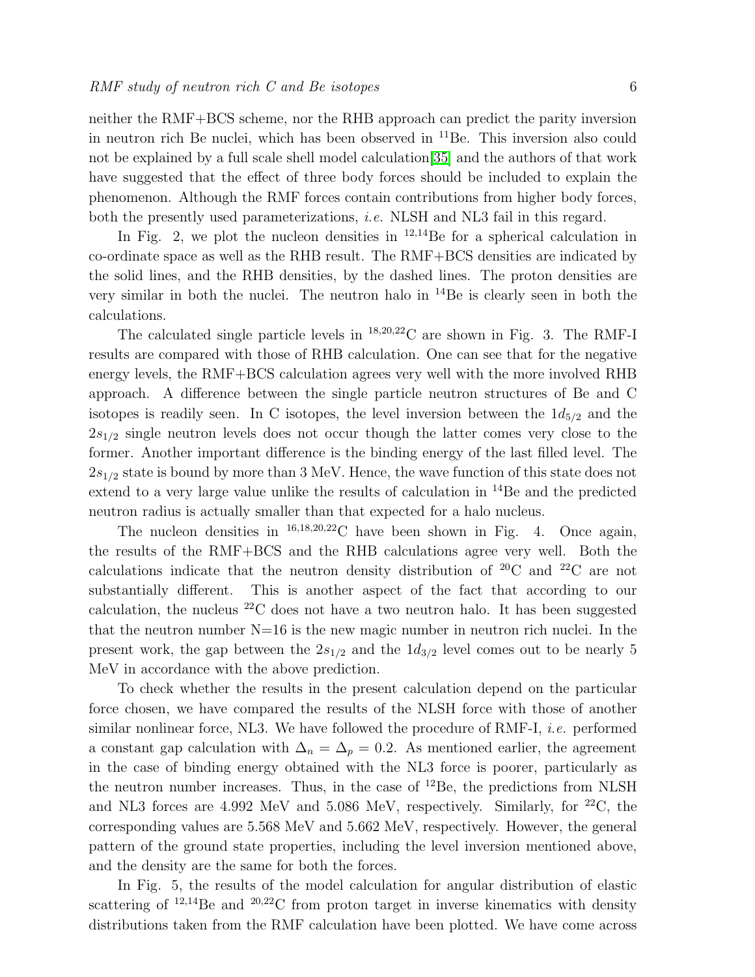neither the RMF+BCS scheme, nor the RHB approach can predict the parity inversion in neutron rich Be nuclei, which has been observed in  $^{11}$ Be. This inversion also could not be explained by a full scale shell model calculation[\[35\]](#page-9-31) and the authors of that work have suggested that the effect of three body forces should be included to explain the phenomenon. Although the RMF forces contain contributions from higher body forces, both the presently used parameterizations, i.e. NLSH and NL3 fail in this regard.

In Fig. 2, we plot the nucleon densities in  $^{12,14}$ Be for a spherical calculation in co-ordinate space as well as the RHB result. The RMF+BCS densities are indicated by the solid lines, and the RHB densities, by the dashed lines. The proton densities are very similar in both the nuclei. The neutron halo in <sup>14</sup>Be is clearly seen in both the calculations.

The calculated single particle levels in  $^{18,20,22}$ C are shown in Fig. 3. The RMF-I results are compared with those of RHB calculation. One can see that for the negative energy levels, the RMF+BCS calculation agrees very well with the more involved RHB approach. A difference between the single particle neutron structures of Be and C isotopes is readily seen. In C isotopes, the level inversion between the  $1d_{5/2}$  and the  $2s_{1/2}$  single neutron levels does not occur though the latter comes very close to the former. Another important difference is the binding energy of the last filled level. The  $2s_{1/2}$  state is bound by more than 3 MeV. Hence, the wave function of this state does not extend to a very large value unlike the results of calculation in  $^{14}$ Be and the predicted neutron radius is actually smaller than that expected for a halo nucleus.

The nucleon densities in  $^{16,18,20,22}$ C have been shown in Fig. 4. Once again, the results of the RMF+BCS and the RHB calculations agree very well. Both the calculations indicate that the neutron density distribution of  ${}^{20}C$  and  ${}^{22}C$  are not substantially different. This is another aspect of the fact that according to our calculation, the nucleus  ${}^{22}$ C does not have a two neutron halo. It has been suggested that the neutron number  $N=16$  is the new magic number in neutron rich nuclei. In the present work, the gap between the  $2s_{1/2}$  and the  $1d_{3/2}$  level comes out to be nearly 5 MeV in accordance with the above prediction.

To check whether the results in the present calculation depend on the particular force chosen, we have compared the results of the NLSH force with those of another similar nonlinear force, NL3. We have followed the procedure of RMF-I, *i.e.* performed a constant gap calculation with  $\Delta_n = \Delta_p = 0.2$ . As mentioned earlier, the agreement in the case of binding energy obtained with the NL3 force is poorer, particularly as the neutron number increases. Thus, in the case of  $^{12}$ Be, the predictions from NLSH and NL3 forces are 4.992 MeV and 5.086 MeV, respectively. Similarly, for <sup>22</sup>C, the corresponding values are 5.568 MeV and 5.662 MeV, respectively. However, the general pattern of the ground state properties, including the level inversion mentioned above, and the density are the same for both the forces.

In Fig. 5, the results of the model calculation for angular distribution of elastic scattering of  $12,14$ Be and  $20,22$ C from proton target in inverse kinematics with density distributions taken from the RMF calculation have been plotted. We have come across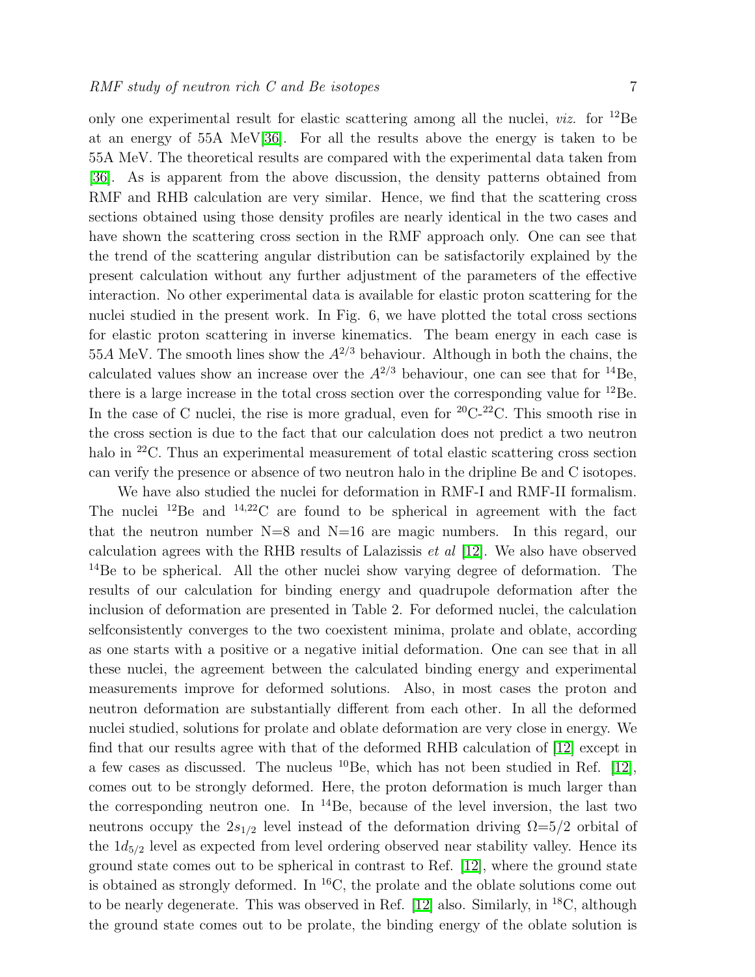only one experimental result for elastic scattering among all the nuclei, *viz.* for  $^{12}Be$ at an energy of 55A MeV[\[36\]](#page-10-0). For all the results above the energy is taken to be 55A MeV. The theoretical results are compared with the experimental data taken from [\[36\]](#page-10-0). As is apparent from the above discussion, the density patterns obtained from RMF and RHB calculation are very similar. Hence, we find that the scattering cross sections obtained using those density profiles are nearly identical in the two cases and have shown the scattering cross section in the RMF approach only. One can see that the trend of the scattering angular distribution can be satisfactorily explained by the present calculation without any further adjustment of the parameters of the effective interaction. No other experimental data is available for elastic proton scattering for the nuclei studied in the present work. In Fig. 6, we have plotted the total cross sections for elastic proton scattering in inverse kinematics. The beam energy in each case is 55A MeV. The smooth lines show the  $A^{2/3}$  behaviour. Although in both the chains, the calculated values show an increase over the  $A^{2/3}$  behaviour, one can see that for <sup>14</sup>Be, there is a large increase in the total cross section over the corresponding value for  $^{12}$ Be. In the case of C nuclei, the rise is more gradual, even for  ${}^{20}C^{-22}C$ . This smooth rise in the cross section is due to the fact that our calculation does not predict a two neutron halo in <sup>22</sup>C. Thus an experimental measurement of total elastic scattering cross section can verify the presence or absence of two neutron halo in the dripline Be and C isotopes.

We have also studied the nuclei for deformation in RMF-I and RMF-II formalism. The nuclei  $^{12}$ Be and  $^{14,22}$ C are found to be spherical in agreement with the fact that the neutron number  $N=8$  and  $N=16$  are magic numbers. In this regard, our calculation agrees with the RHB results of Lalazissis et al [\[12\]](#page-9-11). We also have observed <sup>14</sup>Be to be spherical. All the other nuclei show varying degree of deformation. The results of our calculation for binding energy and quadrupole deformation after the inclusion of deformation are presented in Table 2. For deformed nuclei, the calculation selfconsistently converges to the two coexistent minima, prolate and oblate, according as one starts with a positive or a negative initial deformation. One can see that in all these nuclei, the agreement between the calculated binding energy and experimental measurements improve for deformed solutions. Also, in most cases the proton and neutron deformation are substantially different from each other. In all the deformed nuclei studied, solutions for prolate and oblate deformation are very close in energy. We find that our results agree with that of the deformed RHB calculation of [\[12\]](#page-9-11) except in a few cases as discussed. The nucleus  ${}^{10}$ Be, which has not been studied in Ref. [\[12\]](#page-9-11), comes out to be strongly deformed. Here, the proton deformation is much larger than the corresponding neutron one. In  $^{14}$ Be, because of the level inversion, the last two neutrons occupy the  $2s_{1/2}$  level instead of the deformation driving  $\Omega = 5/2$  orbital of the  $1d_{5/2}$  level as expected from level ordering observed near stability valley. Hence its ground state comes out to be spherical in contrast to Ref. [\[12\]](#page-9-11), where the ground state is obtained as strongly deformed. In  ${}^{16}C$ , the prolate and the oblate solutions come out to be nearly degenerate. This was observed in Ref.  $[12]$  also. Similarly, in <sup>18</sup>C, although the ground state comes out to be prolate, the binding energy of the oblate solution is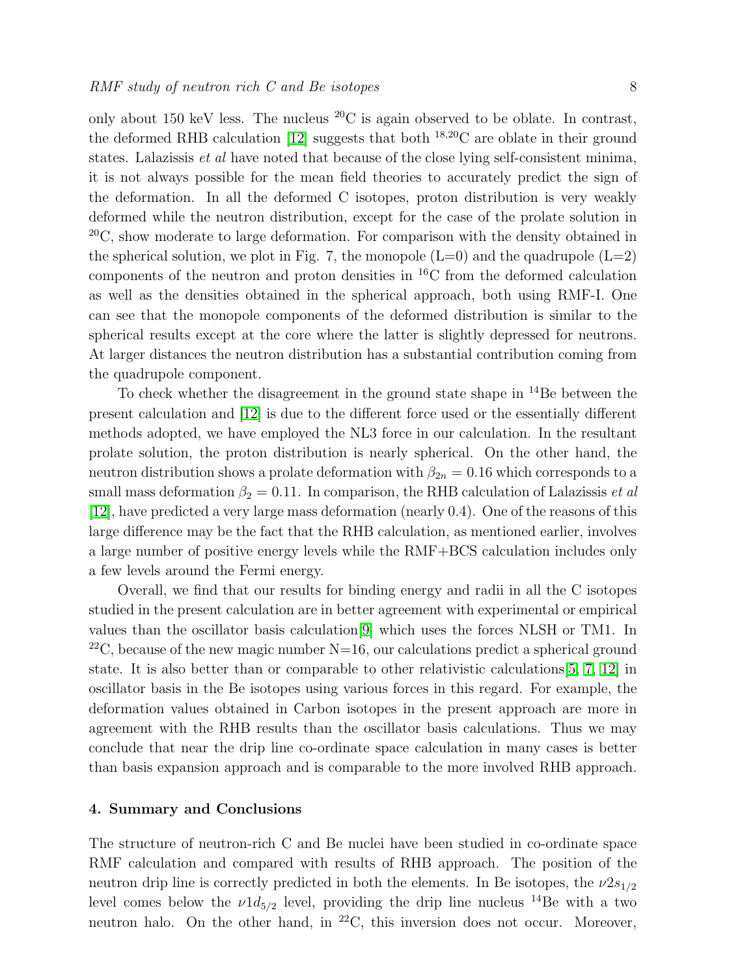only about 150 keV less. The nucleus  ${}^{20}$ C is again observed to be oblate. In contrast, the deformed RHB calculation [\[12\]](#page-9-11) suggests that both  $^{18,20}$ C are oblate in their ground states. Lalazissis et al have noted that because of the close lying self-consistent minima, it is not always possible for the mean field theories to accurately predict the sign of the deformation. In all the deformed C isotopes, proton distribution is very weakly deformed while the neutron distribution, except for the case of the prolate solution in  $20^{\circ}$ C, show moderate to large deformation. For comparison with the density obtained in the spherical solution, we plot in Fig. 7, the monopole  $(L=0)$  and the quadrupole  $(L=2)$ components of the neutron and proton densities in <sup>16</sup>C from the deformed calculation as well as the densities obtained in the spherical approach, both using RMF-I. One can see that the monopole components of the deformed distribution is similar to the spherical results except at the core where the latter is slightly depressed for neutrons. At larger distances the neutron distribution has a substantial contribution coming from the quadrupole component.

To check whether the disagreement in the ground state shape in <sup>14</sup>Be between the present calculation and [\[12\]](#page-9-11) is due to the different force used or the essentially different methods adopted, we have employed the NL3 force in our calculation. In the resultant prolate solution, the proton distribution is nearly spherical. On the other hand, the neutron distribution shows a prolate deformation with  $\beta_{2n} = 0.16$  which corresponds to a small mass deformation  $\beta_2 = 0.11$ . In comparison, the RHB calculation of Lalazissis *et al* [\[12\]](#page-9-11), have predicted a very large mass deformation (nearly 0.4). One of the reasons of this large difference may be the fact that the RHB calculation, as mentioned earlier, involves a large number of positive energy levels while the RMF+BCS calculation includes only a few levels around the Fermi energy.

Overall, we find that our results for binding energy and radii in all the C isotopes studied in the present calculation are in better agreement with experimental or empirical values than the oscillator basis calculation[\[9\]](#page-9-8) which uses the forces NLSH or TM1. In <sup>22</sup>C, because of the new magic number  $N=16$ , our calculations predict a spherical ground state. It is also better than or comparable to other relativistic calculations[\[5,](#page-9-4) [7,](#page-9-6) [12\]](#page-9-11) in oscillator basis in the Be isotopes using various forces in this regard. For example, the deformation values obtained in Carbon isotopes in the present approach are more in agreement with the RHB results than the oscillator basis calculations. Thus we may conclude that near the drip line co-ordinate space calculation in many cases is better than basis expansion approach and is comparable to the more involved RHB approach.

#### 4. Summary and Conclusions

The structure of neutron-rich C and Be nuclei have been studied in co-ordinate space RMF calculation and compared with results of RHB approach. The position of the neutron drip line is correctly predicted in both the elements. In Be isotopes, the  $\nu 2s_{1/2}$ level comes below the  $\nu 1d_{5/2}$  level, providing the drip line nucleus <sup>14</sup>Be with a two neutron halo. On the other hand, in  $^{22}C$ , this inversion does not occur. Moreover,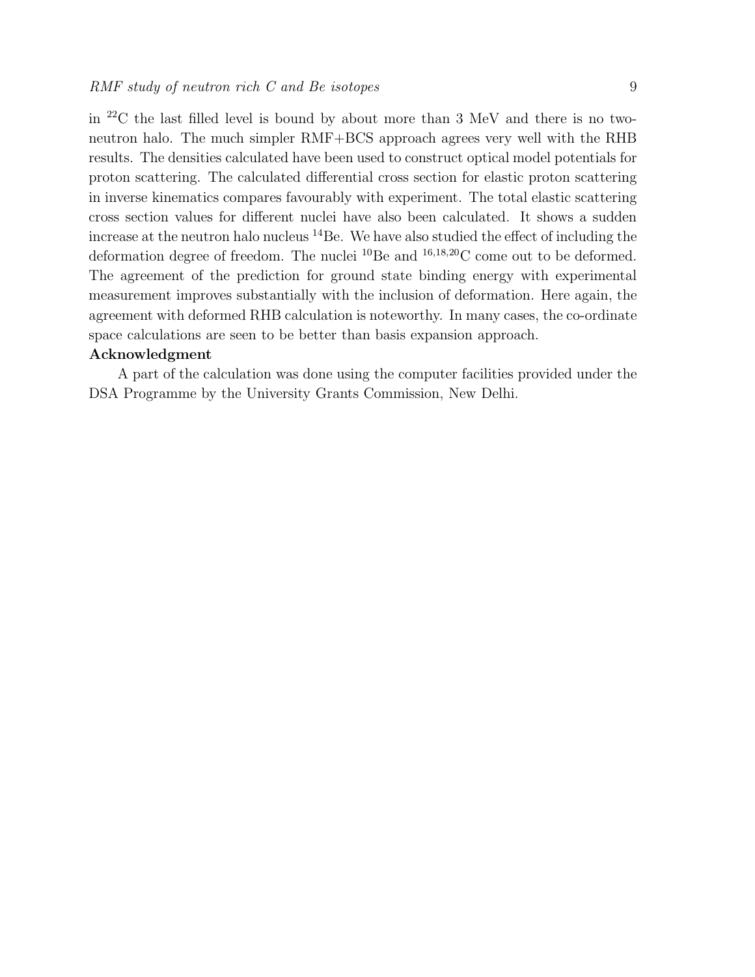in <sup>22</sup>C the last filled level is bound by about more than 3 MeV and there is no twoneutron halo. The much simpler RMF+BCS approach agrees very well with the RHB results. The densities calculated have been used to construct optical model potentials for proton scattering. The calculated differential cross section for elastic proton scattering in inverse kinematics compares favourably with experiment. The total elastic scattering cross section values for different nuclei have also been calculated. It shows a sudden increase at the neutron halo nucleus  $^{14}$ Be. We have also studied the effect of including the deformation degree of freedom. The nuclei  $^{10}$ Be and  $^{16,18,20}$ C come out to be deformed. The agreement of the prediction for ground state binding energy with experimental measurement improves substantially with the inclusion of deformation. Here again, the agreement with deformed RHB calculation is noteworthy. In many cases, the co-ordinate space calculations are seen to be better than basis expansion approach.

#### Acknowledgment

A part of the calculation was done using the computer facilities provided under the DSA Programme by the University Grants Commission, New Delhi.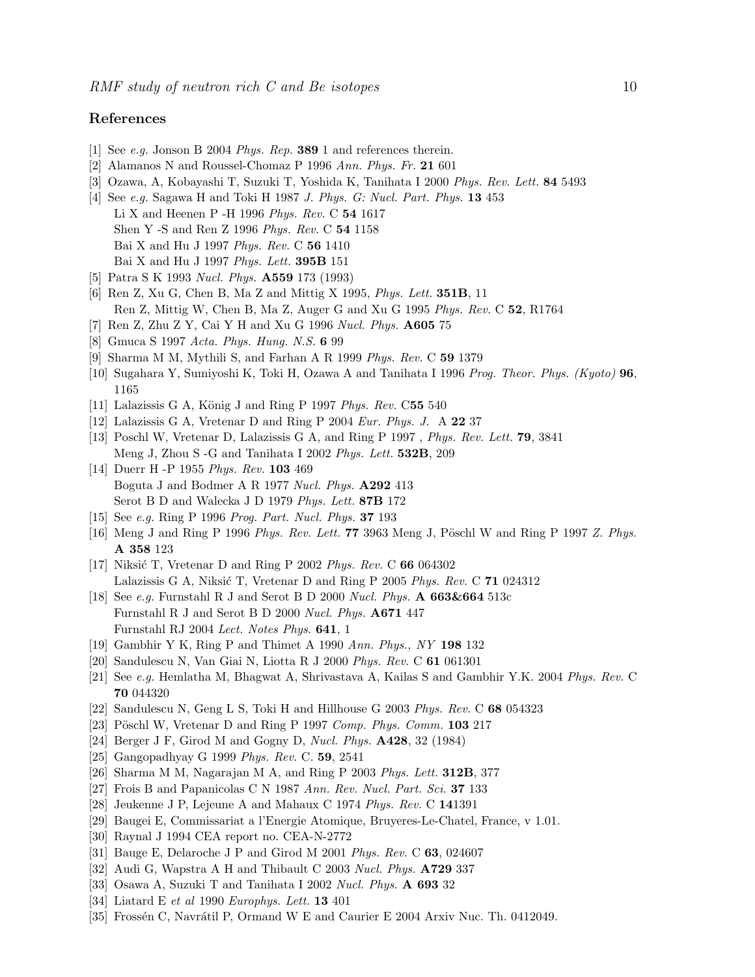## <span id="page-9-0"></span>References

- <span id="page-9-1"></span>[1] See *e.g.* Jonson B 2004 *Phys. Rep.* 389 1 and references therein.
- <span id="page-9-2"></span>[2] Alamanos N and Roussel-Chomaz P 1996 *Ann. Phys. Fr.* 21 601
- <span id="page-9-3"></span>[3] Ozawa, A, Kobayashi T, Suzuki T, Yoshida K, Tanihata I 2000 *Phys. Rev. Lett.* 84 5493
- [4] See *e.g.* Sagawa H and Toki H 1987 *J. Phys. G: Nucl. Part. Phys.* 13 453 Li X and Heenen P -H 1996 *Phys. Rev.* C 54 1617 Shen Y -S and Ren Z 1996 *Phys. Rev.* C 54 1158 Bai X and Hu J 1997 *Phys. Rev.* C 56 1410 Bai X and Hu J 1997 *Phys. Lett.* 395B 151
- <span id="page-9-5"></span><span id="page-9-4"></span>[5] Patra S K 1993 *Nucl. Phys.* A559 173 (1993)
- <span id="page-9-6"></span>[6] Ren Z, Xu G, Chen B, Ma Z and Mittig X 1995, *Phys. Lett.* 351B, 11 Ren Z, Mittig W, Chen B, Ma Z, Auger G and Xu G 1995 *Phys. Rev.* C 52, R1764
- <span id="page-9-7"></span>[7] Ren Z, Zhu Z Y, Cai Y H and Xu G 1996 *Nucl. Phys.* A605 75
- <span id="page-9-8"></span>[8] Gmuca S 1997 *Acta. Phys. Hung. N.S.* 6 99
- <span id="page-9-9"></span>[9] Sharma M M, Mythili S, and Farhan A R 1999 *Phys. Rev.* C 59 1379
- <span id="page-9-10"></span>[10] Sugahara Y, Sumiyoshi K, Toki H, Ozawa A and Tanihata I 1996 *Prog. Theor. Phys. (Kyoto)* 96, 1165
- <span id="page-9-11"></span>[11] Lalazissis G A, König J and Ring P 1997 *Phys. Rev.* C55 540
- <span id="page-9-12"></span>[12] Lalazissis G A, Vretenar D and Ring P 2004 *Eur. Phys. J.* A 22 37
- <span id="page-9-13"></span>[13] Poschl W, Vretenar D, Lalazissis G A, and Ring P 1997 , *Phys. Rev. Lett.* 79, 3841 Meng J, Zhou S -G and Tanihata I 2002 *Phys. Lett.* 532B, 209
- [14] Duerr H -P 1955 *Phys. Rev.* 103 469 Boguta J and Bodmer A R 1977 *Nucl. Phys.* A292 413 Serot B D and Walecka J D 1979 *Phys. Lett.* 87B 172
- <span id="page-9-15"></span><span id="page-9-14"></span>[15] See *e.g.* Ring P 1996 *Prog. Part. Nucl. Phys.* 37 193
- <span id="page-9-16"></span>[16] Meng J and Ring P 1996 *Phys. Rev. Lett.* **77** 3963 Meng J, Pöschl W and Ring P 1997 *Z. Phys.* A 358 123
- <span id="page-9-17"></span>[17] Niksić T, Vretenar D and Ring P 2002 *Phys. Rev.* C 66 064302 Lalazissis G A, Niksić T, Vretenar D and Ring P 2005 *Phys. Rev.* C 71 024312
- [18] See *e.g.* Furnstahl R J and Serot B D 2000 *Nucl. Phys.* A 663&664 513c Furnstahl R J and Serot B D 2000 *Nucl. Phys.* A671 447 Furnstahl RJ 2004 *Lect. Notes Phys.* 641, 1
- <span id="page-9-19"></span><span id="page-9-18"></span>[19] Gambhir Y K, Ring P and Thimet A 1990 *Ann. Phys., NY* 198 132
- <span id="page-9-21"></span>[20] Sandulescu N, Van Giai N, Liotta R J 2000 *Phys. Rev.* C 61 061301
- <span id="page-9-20"></span>[21] See *e.g.* Hemlatha M, Bhagwat A, Shrivastava A, Kailas S and Gambhir Y.K. 2004 *Phys. Rev.* C 70 044320
- <span id="page-9-22"></span>[22] Sandulescu N, Geng L S, Toki H and Hillhouse G 2003 *Phys. Rev.* C 68 054323
- <span id="page-9-23"></span>[23] Pöschl W, Vretenar D and Ring P 1997 *Comp. Phys. Comm.* **103** 217
- <span id="page-9-24"></span>[24] Berger J F, Girod M and Gogny D, *Nucl. Phys.* A428, 32 (1984)
- <span id="page-9-25"></span>[25] Gangopadhyay G 1999 *Phys. Rev.* C. 59, 2541
- <span id="page-9-26"></span>[26] Sharma M M, Nagarajan M A, and Ring P 2003 *Phys. Lett.* 312B, 377
- <span id="page-9-27"></span>[27] Frois B and Papanicolas C N 1987 *Ann. Rev. Nucl. Part. Sci.* 37 133
- <span id="page-9-28"></span>[28] Jeukenne J P, Lejeune A and Mahaux C 1974 *Phys. Rev.* C 141391
- <span id="page-9-29"></span>[29] Baugei E, Commissariat a l'Energie Atomique, Bruyeres-Le-Chatel, France, v 1.01.
- <span id="page-9-30"></span>[30] Raynal J 1994 CEA report no. CEA-N-2772
- <span id="page-9-32"></span>[31] Bauge E, Delaroche J P and Girod M 2001 *Phys. Rev.* C 63, 024607
- <span id="page-9-33"></span>[32] Audi G, Wapstra A H and Thibault C 2003 *Nucl. Phys.* A729 337
- <span id="page-9-34"></span>[33] Osawa A, Suzuki T and Tanihata I 2002 *Nucl. Phys.* A 693 32
- <span id="page-9-31"></span>[34] Liatard E *et al* 1990 *Europhys. Lett.* 13 401
- [35] Frossén C, Navrátil P, Ormand W E and Caurier E 2004 Arxiv Nuc. Th. 0412049.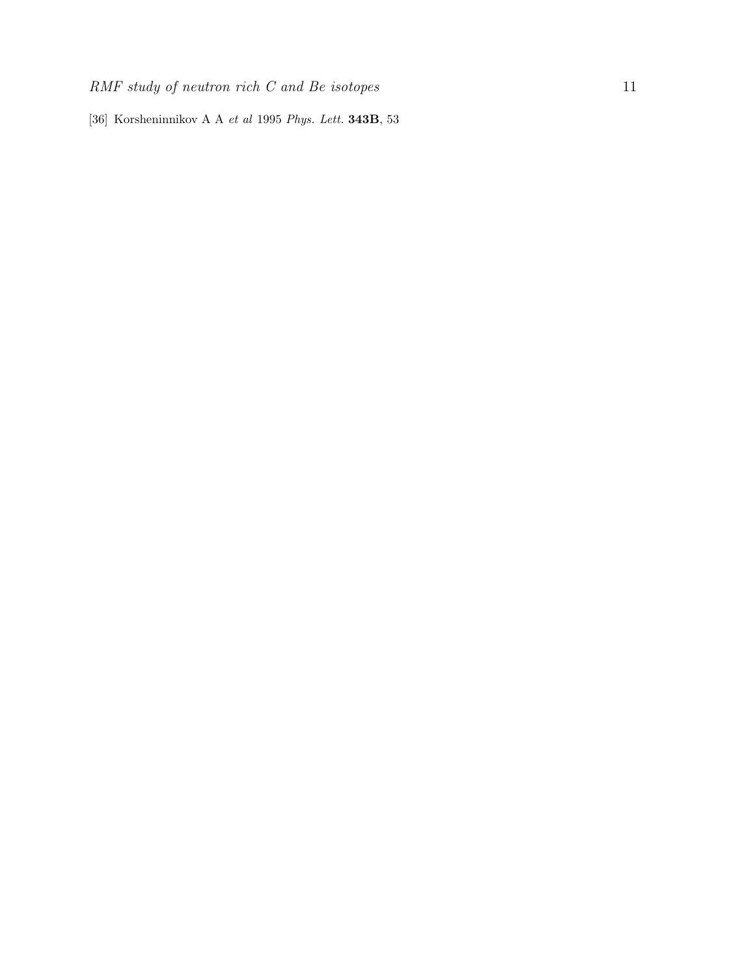<span id="page-10-0"></span>[36] Korsheninnikov A A *et al* 1995 *Phys. Lett.* 343B, 53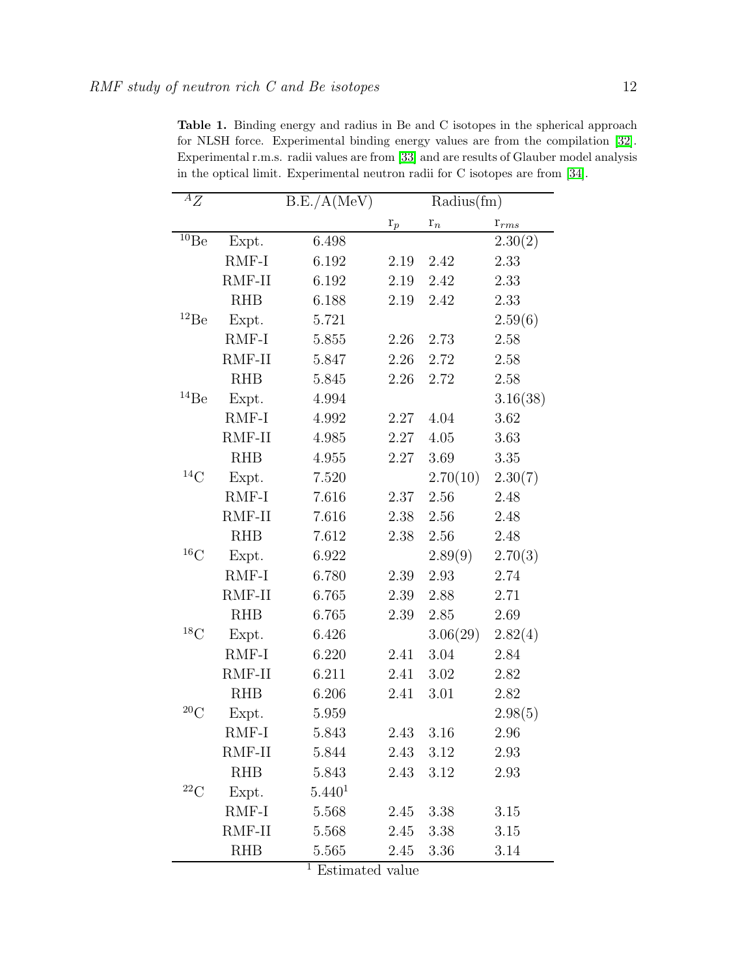| $\overline{A}_{Z}$  |            | B.E./A(MeV)        | Radius(fm)     |             |                    |
|---------------------|------------|--------------------|----------------|-------------|--------------------|
|                     |            |                    | $\mathrm{r}_p$ | ${\rm r}_n$ | $\mathrm{r}_{rms}$ |
| $^{10}Be$           | Expt.      | 6.498              |                |             | 2.30(2)            |
|                     | RMF-I      | 6.192              | 2.19           | 2.42        | 2.33               |
|                     | RMF-II     | 6.192              | 2.19           | 2.42        | 2.33               |
|                     | <b>RHB</b> | 6.188              | 2.19           | 2.42        | 2.33               |
| $^{12}Be$           | Expt.      | 5.721              |                |             | 2.59(6)            |
|                     | RMF-I      | 5.855              | 2.26           | 2.73        | 2.58               |
|                     | RMF-II     | 5.847              | 2.26           | 2.72        | 2.58               |
|                     | <b>RHB</b> | 5.845              | 2.26           | 2.72        | 2.58               |
| ${}^{14}Be$         | Expt.      | 4.994              |                |             | 3.16(38)           |
|                     | RMF-I      | 4.992              | 2.27           | 4.04        | 3.62               |
|                     | $RMF-II$   | 4.985              | 2.27           | 4.05        | 3.63               |
|                     | <b>RHB</b> | 4.955              | 2.27           | 3.69        | 3.35               |
| $^{14}$ C           | Expt.      | 7.520              |                | 2.70(10)    | 2.30(7)            |
|                     | RMF-I      | 7.616              | 2.37           | 2.56        | 2.48               |
|                     | RMF-II     | 7.616              | 2.38           | 2.56        | 2.48               |
|                     | <b>RHB</b> | 7.612              | 2.38           | 2.56        | 2.48               |
| ${}^{16}C$          | Expt.      | 6.922              |                | 2.89(9)     | 2.70(3)            |
|                     | RMF-I      | 6.780              | 2.39           | 2.93        | 2.74               |
|                     | RMF-II     | 6.765              | 2.39           | 2.88        | 2.71               |
|                     | <b>RHB</b> | 6.765              | 2.39           | 2.85        | 2.69               |
| ${}^{18}C$          | Expt.      | 6.426              |                | 3.06(29)    | 2.82(4)            |
|                     | RMF-I      | 6.220              | 2.41           | 3.04        | 2.84               |
|                     | RMF-II     | 6.211              | 2.41           | 3.02        | 2.82               |
|                     | <b>RHB</b> | 6.206              | 2.41           | 3.01        | 2.82               |
| ${}^{20}\mathrm{C}$ | Expt.      | 5.959              |                |             | 2.98(5)            |
|                     | RMF-I      | 5.843              | 2.43           | 3.16        | 2.96               |
|                     | RMF-II     | 5.844              | 2.43           | 3.12        | 2.93               |
|                     | <b>RHB</b> | 5.843              | 2.43           | 3.12        | 2.93               |
| ${}^{22}C$          | Expt.      | 5.440 <sup>1</sup> |                |             |                    |
|                     | $RMF-I$    | 5.568              | 2.45           | 3.38        | 3.15               |
|                     | RMF-II     | 5.568              | 2.45           | 3.38        | 3.15               |
|                     | <b>RHB</b> | 5.565              | 2.45           | 3.36        | 3.14               |

<span id="page-11-0"></span>Table 1. Binding energy and radius in Be and C isotopes in the spherical approach for NLSH force. Experimental binding energy values are from the compilation [\[32\]](#page-9-32). Experimental r.m.s. radii values are from [\[33\]](#page-9-33) and are results of Glauber model analysis in the optical limit. Experimental neutron radii for C isotopes are from [\[34\]](#page-9-34).

<sup>1</sup> Estimated value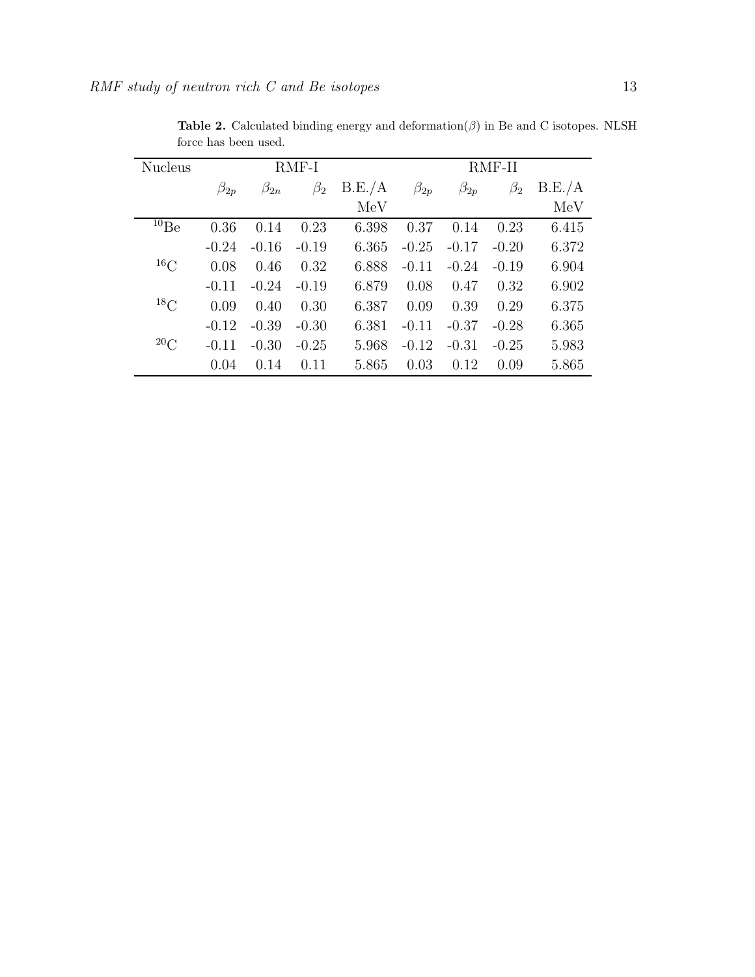| <b>Nucleus</b>     |              |              | $RMF-I$   |        | RMF-II       |              |           |        |
|--------------------|--------------|--------------|-----------|--------|--------------|--------------|-----------|--------|
|                    | $\beta_{2p}$ | $\beta_{2n}$ | $\beta_2$ | B.E./A | $\beta_{2p}$ | $\beta_{2p}$ | $\beta_2$ | B.E./A |
|                    |              |              |           | MeV    |              |              |           | MeV    |
| ${}^{10}\text{Be}$ | 0.36         | 0.14         | 0.23      | 6.398  | 0.37         | 0.14         | 0.23      | 6.415  |
|                    | $-0.24$      | $-0.16$      | $-0.19$   | 6.365  | $-0.25$      | $-0.17$      | $-0.20$   | 6.372  |
| ${}^{16}C$         | 0.08         | 0.46         | 0.32      | 6.888  | $-0.11$      | $-0.24$      | $-0.19$   | 6.904  |
|                    | $-0.11$      | $-0.24$      | $-0.19$   | 6.879  | 0.08         | 0.47         | 0.32      | 6.902  |
| ${}^{18}C$         | 0.09         | 0.40         | 0.30      | 6.387  | 0.09         | 0.39         | 0.29      | 6.375  |
|                    | $-0.12$      | $-0.39$      | $-0.30$   | 6.381  | $-0.11$      | $-0.37$      | $-0.28$   | 6.365  |
| ${}^{20}C$         | $-0.11$      | $-0.30$      | $-0.25$   | 5.968  | $-0.12$      | $-0.31$      | $-0.25$   | 5.983  |
|                    | 0.04         | 0.14         | 0.11      | 5.865  | 0.03         | 0.12         | 0.09      | 5.865  |

Table 2. Calculated binding energy and deformation( $\beta$ ) in Be and C isotopes. NLSH force has been used.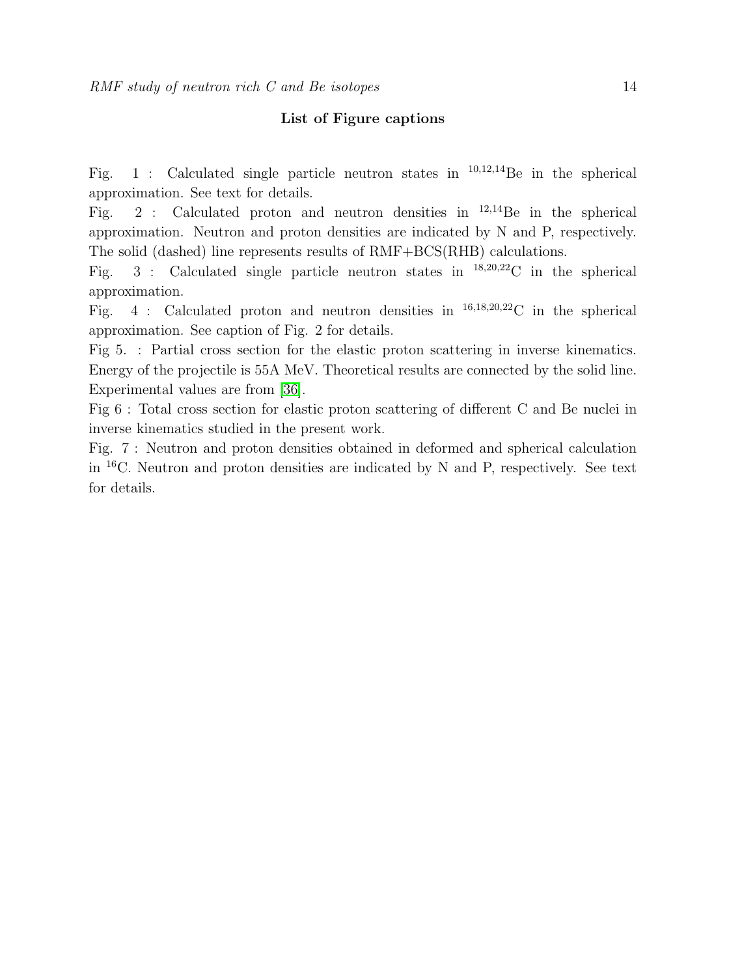## List of Figure captions

Fig. 1 : Calculated single particle neutron states in  $^{10,12,14}$ Be in the spherical approximation. See text for details.

Fig. 2 : Calculated proton and neutron densities in  $^{12,14}$ Be in the spherical approximation. Neutron and proton densities are indicated by N and P, respectively. The solid (dashed) line represents results of RMF+BCS(RHB) calculations.

Fig. 3 : Calculated single particle neutron states in  $^{18,20,22}$ C in the spherical approximation.

Fig. 4 : Calculated proton and neutron densities in  $^{16,18,20,22}$ C in the spherical approximation. See caption of Fig. 2 for details.

Fig 5. : Partial cross section for the elastic proton scattering in inverse kinematics. Energy of the projectile is 55A MeV. Theoretical results are connected by the solid line. Experimental values are from [\[36\]](#page-10-0).

Fig 6 : Total cross section for elastic proton scattering of different C and Be nuclei in inverse kinematics studied in the present work.

Fig. 7 : Neutron and proton densities obtained in deformed and spherical calculation in <sup>16</sup>C. Neutron and proton densities are indicated by N and P, respectively. See text for details.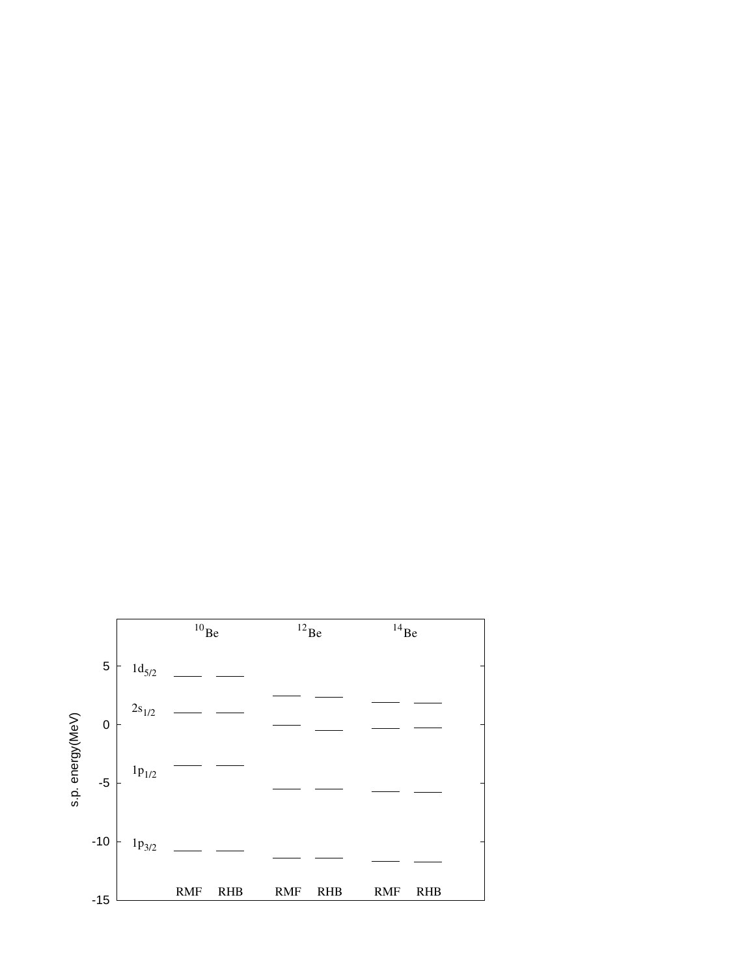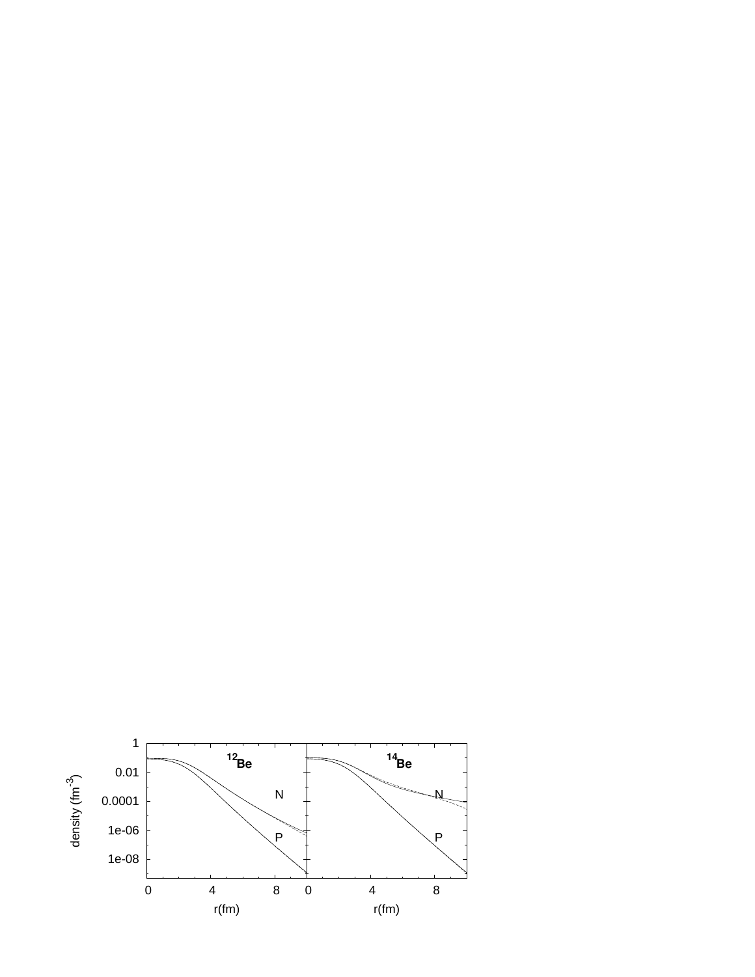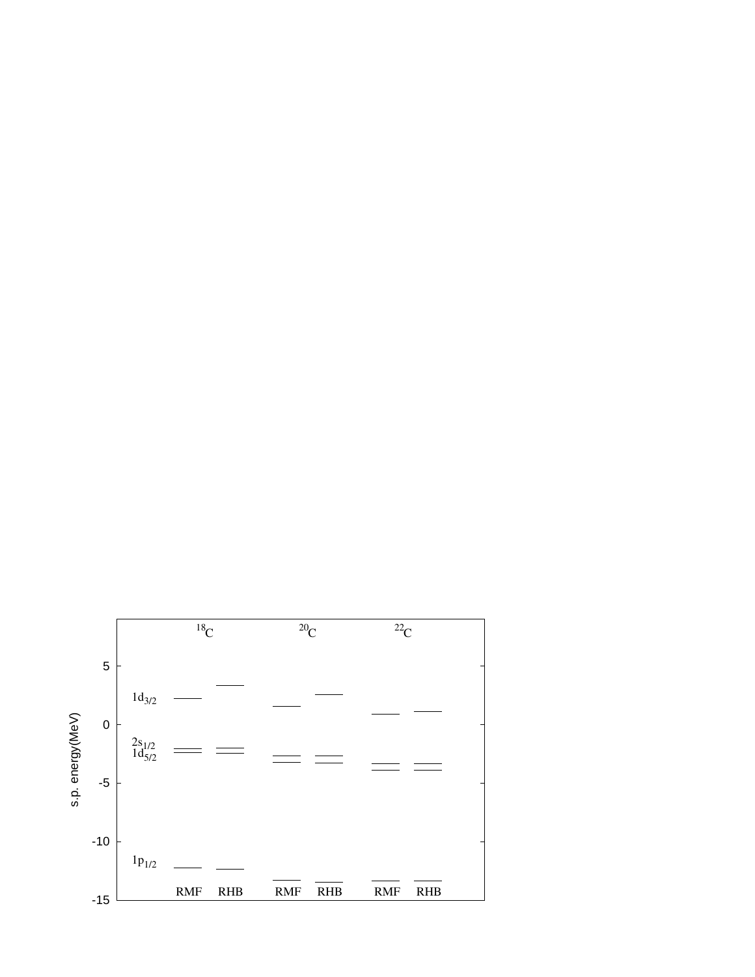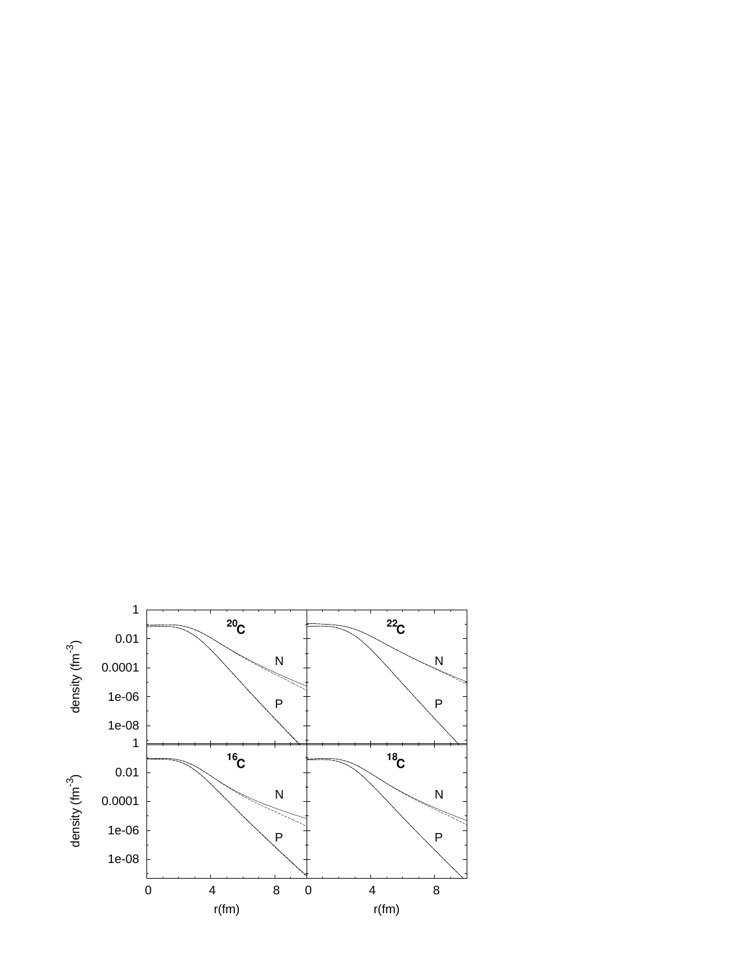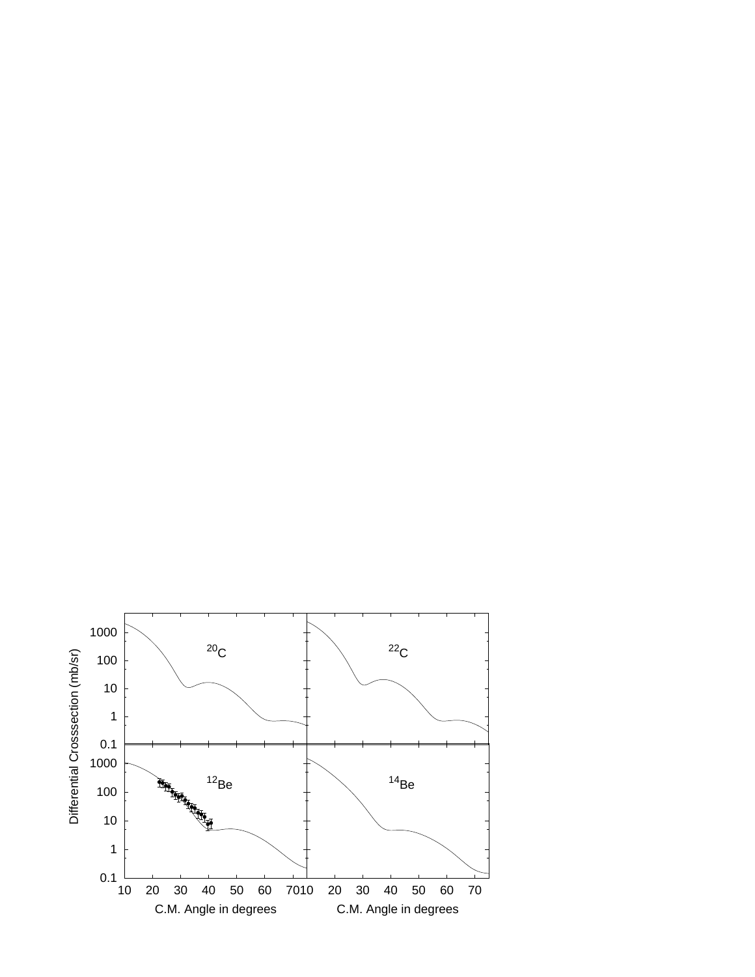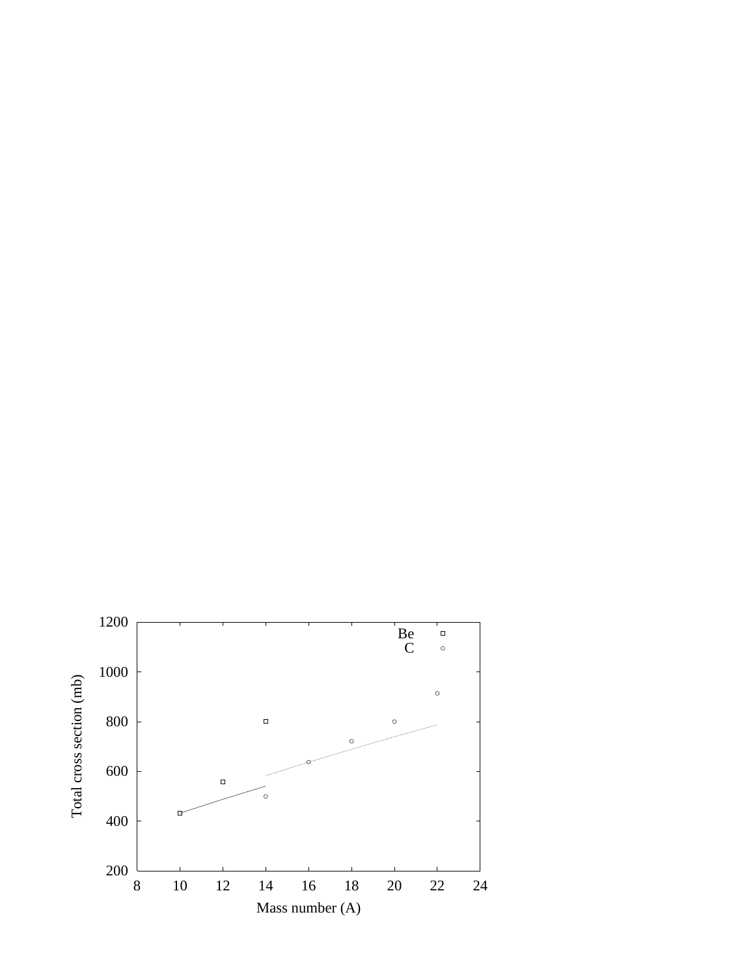